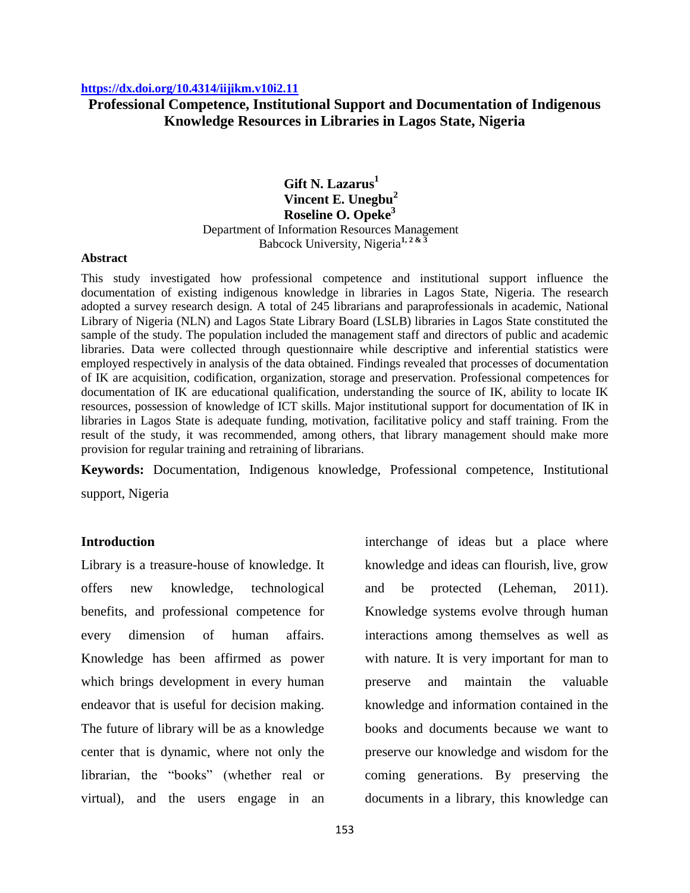### **<https://dx.doi.org/10.4314/iijikm.v10i2.11>**

# **Professional Competence, Institutional Support and Documentation of Indigenous Knowledge Resources in Libraries in Lagos State, Nigeria**

# **Gift N. Lazarus<sup>1</sup> Vincent E. Unegbu<sup>2</sup> Roseline O. Opeke<sup>3</sup>** Department of Information Resources Management Babcock University, Nigeria**1, 2 & 3**

### **Abstract**

This study investigated how professional competence and institutional support influence the documentation of existing indigenous knowledge in libraries in Lagos State, Nigeria. The research adopted a survey research design. A total of 245 librarians and paraprofessionals in academic, National Library of Nigeria (NLN) and Lagos State Library Board (LSLB) libraries in Lagos State constituted the sample of the study. The population included the management staff and directors of public and academic libraries. Data were collected through questionnaire while descriptive and inferential statistics were employed respectively in analysis of the data obtained. Findings revealed that processes of documentation of IK are acquisition, codification, organization, storage and preservation. Professional competences for documentation of IK are educational qualification, understanding the source of IK, ability to locate IK resources, possession of knowledge of ICT skills. Major institutional support for documentation of IK in libraries in Lagos State is adequate funding, motivation, facilitative policy and staff training. From the result of the study, it was recommended, among others, that library management should make more provision for regular training and retraining of librarians.

**Keywords:** Documentation, Indigenous knowledge, Professional competence, Institutional support, Nigeria

### **Introduction**

Library is a treasure-house of knowledge. It offers new knowledge, technological benefits, and professional competence for every dimension of human affairs. Knowledge has been affirmed as power which brings development in every human endeavor that is useful for decision making. The future of library will be as a knowledge center that is dynamic, where not only the librarian, the "books" (whether real or virtual), and the users engage in an

interchange of ideas but a place where knowledge and ideas can flourish, live, grow and be protected (Leheman, 2011). Knowledge systems evolve through human interactions among themselves as well as with nature. It is very important for man to preserve and maintain the valuable knowledge and information contained in the books and documents because we want to preserve our knowledge and wisdom for the coming generations. By preserving the documents in a library, this knowledge can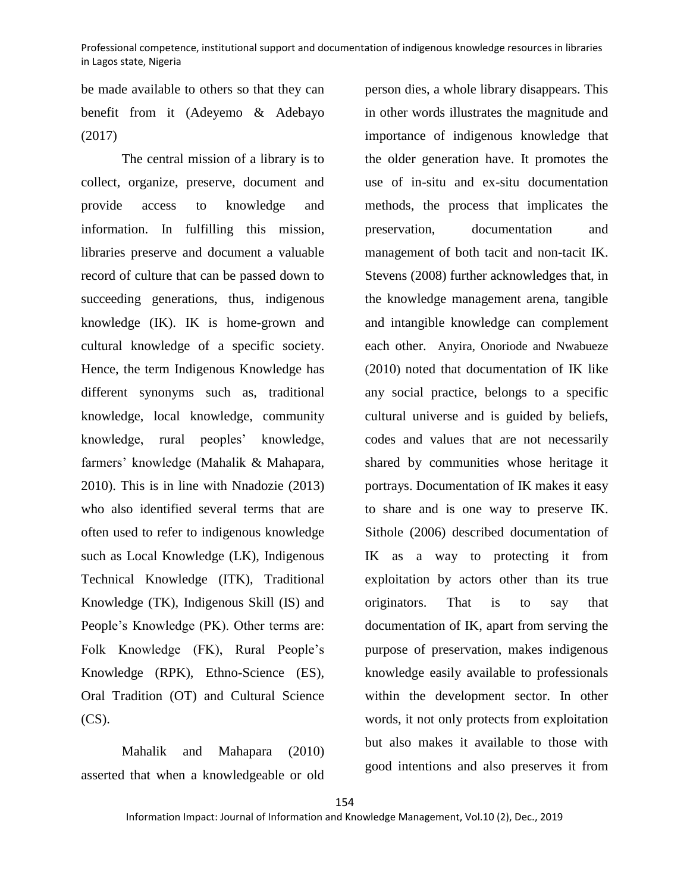be made available to others so that they can benefit from it (Adeyemo & Adebayo (2017)

The central mission of a library is to collect, organize, preserve, document and provide access to knowledge and information. In fulfilling this mission, libraries preserve and document a valuable record of culture that can be passed down to succeeding generations, thus, indigenous knowledge (IK). IK is home-grown and cultural knowledge of a specific society. Hence, the term Indigenous Knowledge has different synonyms such as, traditional knowledge, local knowledge, community knowledge, rural peoples' knowledge, farmers' knowledge (Mahalik & Mahapara, 2010). This is in line with Nnadozie (2013) who also identified several terms that are often used to refer to indigenous knowledge such as Local Knowledge (LK), Indigenous Technical Knowledge (ITK), Traditional Knowledge (TK), Indigenous Skill (IS) and People's Knowledge (PK). Other terms are: Folk Knowledge (FK), Rural People's Knowledge (RPK), Ethno-Science (ES), Oral Tradition (OT) and Cultural Science (CS).

Mahalik and Mahapara (2010) asserted that when a knowledgeable or old person dies, a whole library disappears. This in other words illustrates the magnitude and importance of indigenous knowledge that the older generation have. It promotes the use of in-situ and ex-situ documentation methods, the process that implicates the preservation, documentation and management of both tacit and non-tacit IK. Stevens (2008) further acknowledges that, in the knowledge management arena, tangible and intangible knowledge can complement each other. Anyira, Onoriode and Nwabueze (2010) noted that documentation of IK like any social practice, belongs to a specific cultural universe and is guided by beliefs, codes and values that are not necessarily shared by communities whose heritage it portrays. Documentation of IK makes it easy to share and is one way to preserve IK. Sithole (2006) described documentation of IK as a way to protecting it from exploitation by actors other than its true originators. That is to say that documentation of IK, apart from serving the purpose of preservation, makes indigenous knowledge easily available to professionals within the development sector. In other words, it not only protects from exploitation but also makes it available to those with good intentions and also preserves it from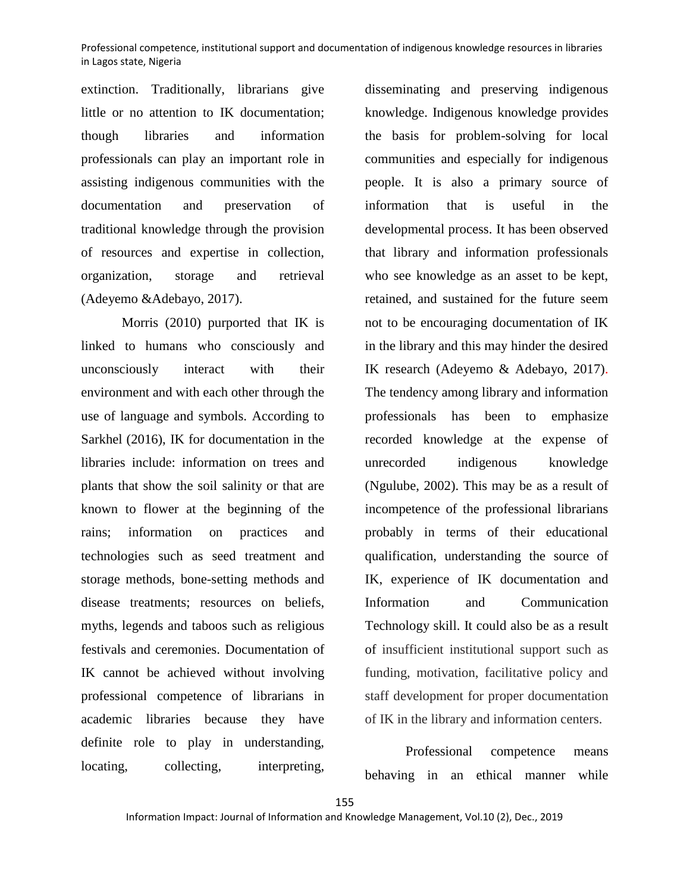extinction. Traditionally, librarians give little or no attention to IK documentation; though libraries and information professionals can play an important role in assisting indigenous communities with the documentation and preservation of traditional knowledge through the provision of resources and expertise in collection, organization, storage and retrieval (Adeyemo &Adebayo, 2017).

Morris (2010) purported that IK is linked to humans who consciously and unconsciously interact with their environment and with each other through the use of language and symbols. According to Sarkhel (2016), IK for documentation in the libraries include: information on trees and plants that show the soil salinity or that are known to flower at the beginning of the rains; information on practices and technologies such as seed treatment and storage methods, bone-setting methods and disease treatments; resources on beliefs, myths, legends and taboos such as religious festivals and ceremonies. Documentation of IK cannot be achieved without involving professional competence of librarians in academic libraries because they have definite role to play in understanding, locating, collecting, interpreting,

disseminating and preserving indigenous knowledge. Indigenous knowledge provides the basis for problem-solving for local communities and especially for indigenous people. It is also a primary source of information that is useful in the developmental process. It has been observed that library and information professionals who see knowledge as an asset to be kept, retained, and sustained for the future seem not to be encouraging documentation of IK in the library and this may hinder the desired IK research (Adeyemo & Adebayo, 2017). The tendency among library and information professionals has been to emphasize recorded knowledge at the expense of unrecorded indigenous knowledge (Ngulube, 2002). This may be as a result of incompetence of the professional librarians probably in terms of their educational qualification, understanding the source of IK, experience of IK documentation and Information and Communication Technology skill. It could also be as a result of insufficient institutional support such as funding, motivation, facilitative policy and staff development for proper documentation of IK in the library and information centers.

Professional competence means behaving in an ethical manner while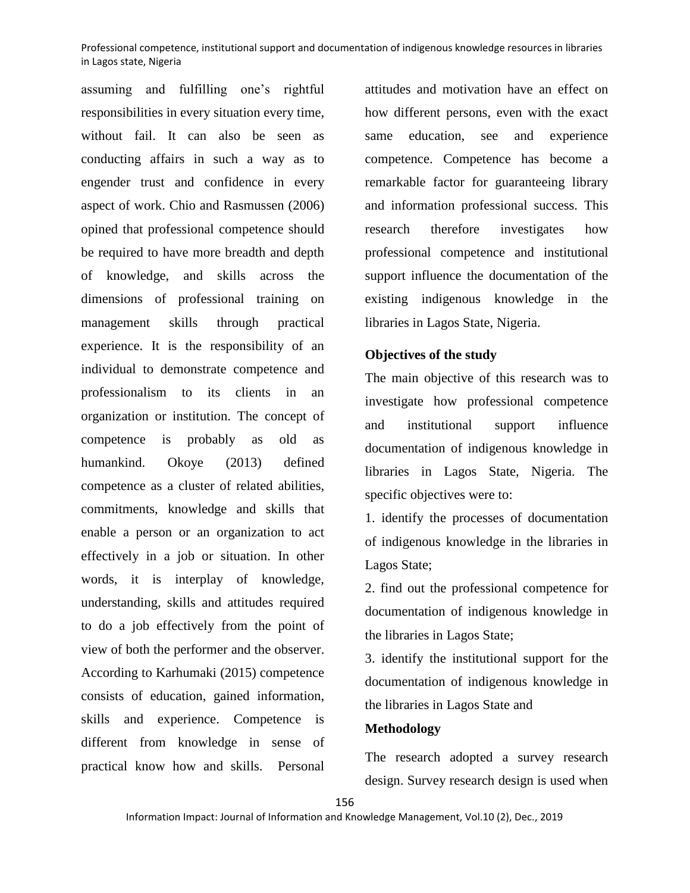assuming and fulfilling one's rightful responsibilities in every situation every time, without fail. It can also be seen as conducting affairs in such a way as to engender trust and confidence in every aspect of work. Chio and Rasmussen (2006) opined that professional competence should be required to have more breadth and depth of knowledge, and skills across the dimensions of professional training on management skills through practical experience. It is the responsibility of an individual to demonstrate competence and professionalism to its clients in an organization or institution. The concept of competence is probably as old as humankind. Okoye (2013) defined competence as a cluster of related abilities, commitments, knowledge and skills that enable a person or an organization to act effectively in a job or situation. In other words, it is interplay of knowledge, understanding, skills and attitudes required to do a job effectively from the point of view of both the performer and the observer. According to Karhumaki (2015) competence consists of education, gained information, skills and experience. Competence is different from knowledge in sense of practical know how and skills. Personal attitudes and motivation have an effect on how different persons, even with the exact same education, see and experience competence. Competence has become a remarkable factor for guaranteeing library and information professional success. This research therefore investigates how professional competence and institutional support influence the documentation of the existing indigenous knowledge in the libraries in Lagos State, Nigeria.

# **Objectives of the study**

The main objective of this research was to investigate how professional competence and institutional support influence documentation of indigenous knowledge in libraries in Lagos State, Nigeria. The specific objectives were to:

1. identify the processes of documentation of indigenous knowledge in the libraries in Lagos State;

2. find out the professional competence for documentation of indigenous knowledge in the libraries in Lagos State;

3. identify the institutional support for the documentation of indigenous knowledge in the libraries in Lagos State and

### **Methodology**

The research adopted a survey research design. Survey research design is used when

156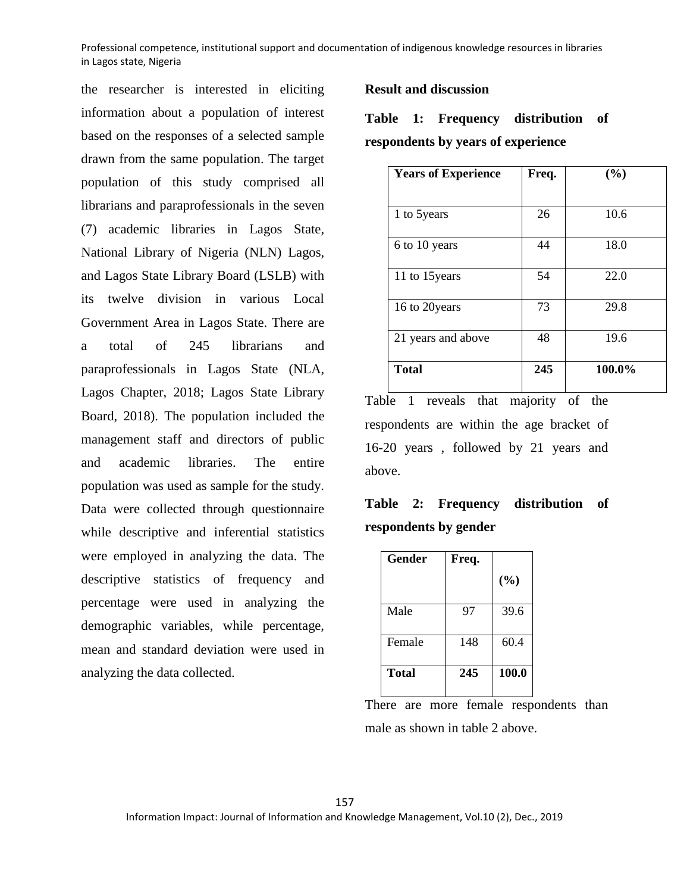the researcher is interested in eliciting information about a population of interest based on the responses of a selected sample drawn from the same population. The target population of this study comprised all librarians and paraprofessionals in the seven (7) academic libraries in Lagos State, National Library of Nigeria (NLN) Lagos, and Lagos State Library Board (LSLB) with its twelve division in various Local Government Area in Lagos State. There are a total of 245 librarians and paraprofessionals in Lagos State (NLA, Lagos Chapter, 2018; Lagos State Library Board, 2018). The population included the management staff and directors of public and academic libraries. The entire population was used as sample for the study. Data were collected through questionnaire while descriptive and inferential statistics were employed in analyzing the data. The descriptive statistics of frequency and percentage were used in analyzing the demographic variables, while percentage, mean and standard deviation were used in analyzing the data collected.

## **Result and discussion**

**Table 1: Frequency distribution of respondents by years of experience** 

| <b>Years of Experience</b> | Freq. | (%)    |
|----------------------------|-------|--------|
|                            |       |        |
| 1 to 5years                | 26    | 10.6   |
|                            |       |        |
| 6 to 10 years              | 44    | 18.0   |
| 11 to 15 years             | 54    | 22.0   |
|                            |       |        |
| 16 to 20years              | 73    | 29.8   |
|                            |       |        |
| 21 years and above         | 48    | 19.6   |
|                            |       |        |
| <b>Total</b>               | 245   | 100.0% |
|                            |       |        |

Table 1 reveals that majority of the respondents are within the age bracket of 16-20 years , followed by 21 years and above.

**Table 2: Frequency distribution of respondents by gender** 

| <b>Gender</b> | Freq. |        |
|---------------|-------|--------|
|               |       | $(\%)$ |
| Male          | 97    | 39.6   |
| Female        | 148   | 60.4   |
| <b>Total</b>  | 245   | 100.0  |

There are more female respondents than male as shown in table 2 above.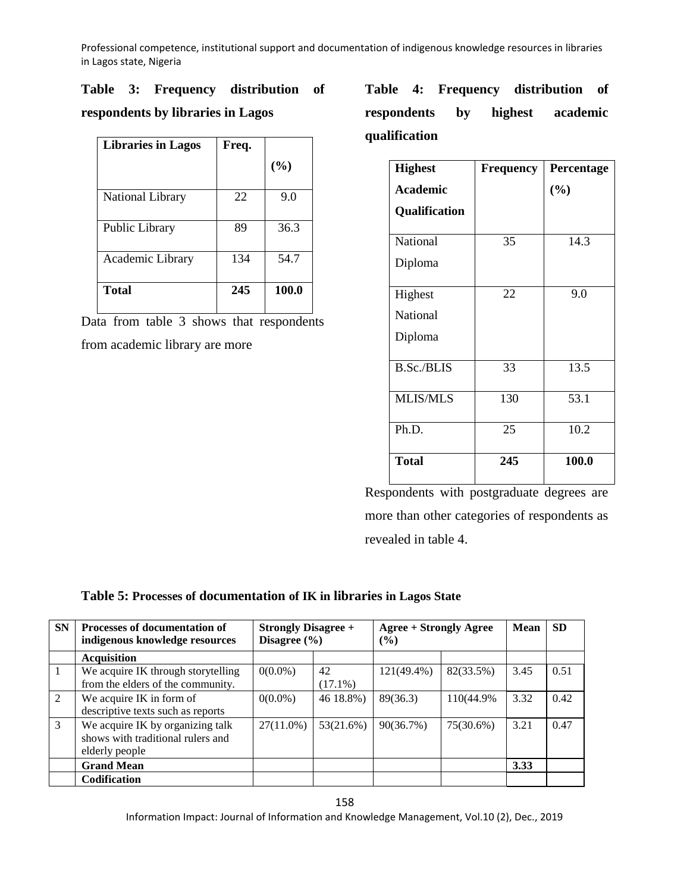# **Table 3: Frequency distribution of**

# **respondents by libraries in Lagos**

| <b>Libraries in Lagos</b> | Freq. |       |
|---------------------------|-------|-------|
|                           |       | (%)   |
| National Library          | 22    | 9.0   |
| Public Library            | 89    | 36.3  |
| Academic Library          | 134   | 54.7  |
| <b>Total</b>              | 245   | 100.0 |

Data from table 3 shows that respondents from academic library are more

**Table 4: Frequency distribution of respondents by highest academic qualification**

| <b>Highest</b>    | <b>Frequency</b> | Percentage |
|-------------------|------------------|------------|
| Academic          |                  | (%)        |
| Qualification     |                  |            |
| National          | 35               | 14.3       |
| Diploma           |                  |            |
| Highest           | 22               | 9.0        |
| National          |                  |            |
| Diploma           |                  |            |
| <b>B.Sc./BLIS</b> | 33               | 13.5       |
| <b>MLIS/MLS</b>   | 130              | 53.1       |
| Ph.D.             | 25               | 10.2       |
| <b>Total</b>      | 245              | 100.0      |

Respondents with postgraduate degrees are more than other categories of respondents as revealed in table 4.

# **Table 5: Processes of documentation of IK in libraries in Lagos State**

| <b>SN</b>     | <b>Processes of documentation of</b><br>indigenous knowledge resources | <b>Strongly Disagree +</b><br>Disagree $(\% )$ |            | Agree + Strongly Agree<br>$\frac{9}{6}$ | Mean       | <b>SD</b> |      |
|---------------|------------------------------------------------------------------------|------------------------------------------------|------------|-----------------------------------------|------------|-----------|------|
|               | <b>Acquisition</b>                                                     |                                                |            |                                         |            |           |      |
| 1             | We acquire IK through storytelling                                     | $0(0.0\%)$                                     | 42         | $121(49.4\%)$                           | 82(33.5%)  | 3.45      | 0.51 |
|               | from the elders of the community.                                      |                                                | $(17.1\%)$ |                                         |            |           |      |
| 2             | We acquire IK in form of                                               | $0(0.0\%)$                                     | 46 18.8%)  | 89(36.3)                                | 110(44.9%) | 3.32      | 0.42 |
|               | descriptive texts such as reports                                      |                                                |            |                                         |            |           |      |
| $\mathcal{E}$ | We acquire IK by organizing talk                                       | $27(11.0\%)$                                   | 53(21.6%)  | 90(36.7%)                               | 75(30.6%)  | 3.21      | 0.47 |
|               | shows with traditional rulers and                                      |                                                |            |                                         |            |           |      |
|               | elderly people                                                         |                                                |            |                                         |            |           |      |
|               | <b>Grand Mean</b>                                                      |                                                |            |                                         |            | 3.33      |      |
|               | <b>Codification</b>                                                    |                                                |            |                                         |            |           |      |

158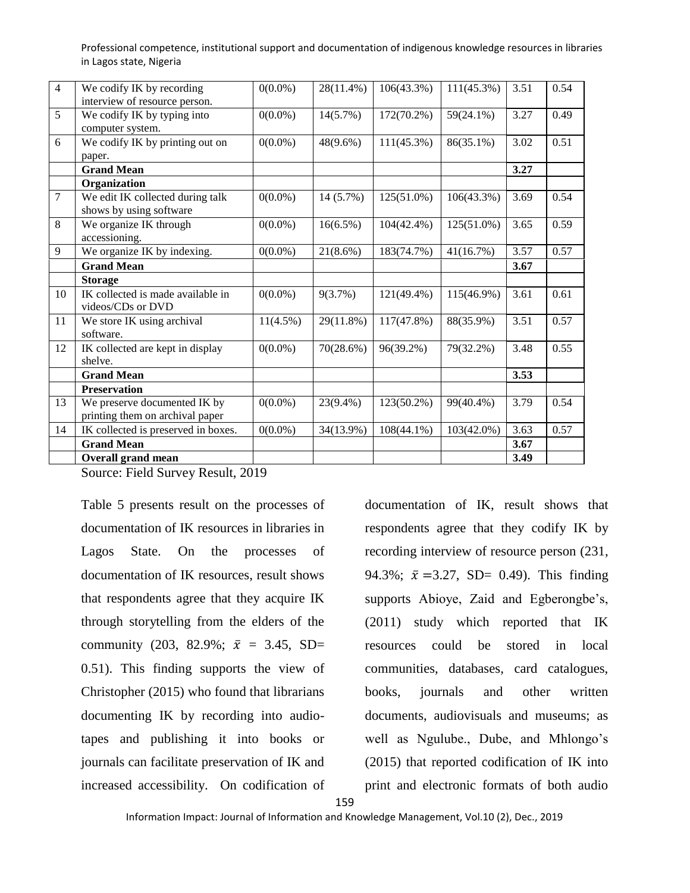| 14             | IK collected is preserved in boxes.<br><b>Grand Mean</b>        | $0(0.0\%)$  |             |               |               | 3.67 |      |
|----------------|-----------------------------------------------------------------|-------------|-------------|---------------|---------------|------|------|
|                |                                                                 |             | 34(13.9%)   | $108(44.1\%)$ | 103(42.0%)    | 3.63 | 0.57 |
| 13             | We preserve documented IK by<br>printing them on archival paper | $0(0.0\%)$  | 23(9.4%)    | 123(50.2%)    | 99(40.4%)     | 3.79 | 0.54 |
|                | <b>Preservation</b>                                             |             |             |               |               |      |      |
|                | <b>Grand Mean</b>                                               |             |             |               |               | 3.53 |      |
| 12             | IK collected are kept in display<br>shelve.                     | $0(0.0\%)$  | 70(28.6%)   | 96(39.2%)     | 79(32.2%)     | 3.48 | 0.55 |
| 11             | We store IK using archival<br>software.                         | $11(4.5\%)$ | 29(11.8%)   | 117(47.8%)    | 88(35.9%)     | 3.51 | 0.57 |
| 10             | IK collected is made available in<br>videos/CDs or DVD          | $0(0.0\%)$  | 9(3.7%)     | 121(49.4%)    | 115(46.9%)    | 3.61 | 0.61 |
|                | <b>Storage</b>                                                  |             |             |               |               |      |      |
|                | <b>Grand Mean</b>                                               |             |             |               |               | 3.67 |      |
| 9              | We organize IK by indexing.                                     | $0(0.0\%)$  | $21(8.6\%)$ | 183(74.7%)    | 41(16.7%)     | 3.57 | 0.57 |
| 8              | We organize IK through<br>accessioning.                         | $0(0.0\%)$  | $16(6.5\%)$ | 104(42.4%)    | 125(51.0%)    | 3.65 | 0.59 |
| $\overline{7}$ | We edit IK collected during talk<br>shows by using software     | $0(0.0\%)$  | 14 (5.7%)   | 125(51.0%)    | $106(43.3\%)$ | 3.69 | 0.54 |
|                | Organization                                                    |             |             |               |               |      |      |
|                | <b>Grand Mean</b>                                               |             |             |               |               | 3.27 |      |
| 6              | We codify IK by printing out on<br>paper.                       | $0(0.0\%)$  | $48(9.6\%)$ | $111(45.3\%)$ | 86(35.1%)     | 3.02 | 0.51 |
|                | computer system.                                                |             |             |               |               |      |      |
| 5              | interview of resource person.<br>We codify IK by typing into    | $0(0.0\%)$  | $14(5.7\%)$ | 172(70.2%)    | $59(24.1\%)$  | 3.27 | 0.49 |
| $\overline{4}$ | We codify IK by recording                                       | $0(0.0\%)$  | 28(11.4%)   | 106(43.3%)    | $111(45.3\%)$ | 3.51 | 0.54 |

Source: Field Survey Result, 2019

Table 5 presents result on the processes of documentation of IK resources in libraries in Lagos State. On the processes of documentation of IK resources, result shows that respondents agree that they acquire IK through storytelling from the elders of the community (203, 82.9%;  $\bar{x} = 3.45$ , SD= 0.51). This finding supports the view of Christopher (2015) who found that librarians documenting IK by recording into audiotapes and publishing it into books or journals can facilitate preservation of IK and increased accessibility. On codification of

documentation of IK, result shows that respondents agree that they codify IK by recording interview of resource person (231, 94.3%;  $\bar{x} = 3.27$ , SD= 0.49). This finding supports Abioye, Zaid and Egberongbe's, (2011) study which reported that IK resources could be stored in local communities, databases, card catalogues, books, journals and other written documents, audiovisuals and museums; as well as Ngulube., Dube, and Mhlongo's (2015) that reported codification of IK into print and electronic formats of both audio

159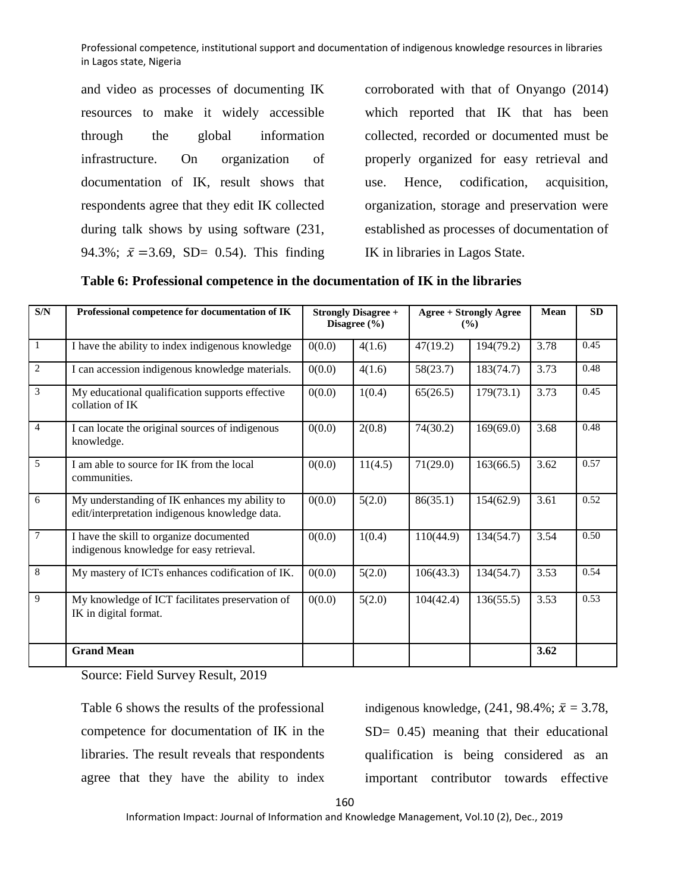and video as processes of documenting IK resources to make it widely accessible through the global information infrastructure. On organization of documentation of IK, result shows that respondents agree that they edit IK collected during talk shows by using software (231, 94.3%;  $\bar{x} = 3.69$ , SD= 0.54). This finding corroborated with that of Onyango (2014) which reported that IK that has been collected, recorded or documented must be properly organized for easy retrieval and use. Hence, codification, acquisition, organization, storage and preservation were established as processes of documentation of IK in libraries in Lagos State.

| $\overline{\text{S/N}}$ | Professional competence for documentation of IK                                                 |        | <b>Strongly Disagree +</b><br>Disagree $(\% )$ |           | <b>Agree + Strongly Agree</b><br>$($ %) | Mean | <b>SD</b> |
|-------------------------|-------------------------------------------------------------------------------------------------|--------|------------------------------------------------|-----------|-----------------------------------------|------|-----------|
| $\mathbf{1}$            | I have the ability to index indigenous knowledge                                                | 0(0.0) | 4(1.6)                                         | 47(19.2)  | 194(79.2)                               | 3.78 | 0.45      |
| $\overline{2}$          | I can accession indigenous knowledge materials.                                                 | 0(0.0) | 4(1.6)                                         | 58(23.7)  | 183(74.7)                               | 3.73 | 0.48      |
| 3                       | My educational qualification supports effective<br>collation of IK                              | 0(0.0) | 1(0.4)                                         | 65(26.5)  | 179(73.1)                               | 3.73 | 0.45      |
| $\overline{4}$          | I can locate the original sources of indigenous<br>knowledge.                                   | 0(0.0) | 2(0.8)                                         | 74(30.2)  | 169(69.0)                               | 3.68 | 0.48      |
| 5                       | I am able to source for IK from the local<br>communities.                                       | 0(0.0) | 11(4.5)                                        | 71(29.0)  | 163(66.5)                               | 3.62 | 0.57      |
| 6                       | My understanding of IK enhances my ability to<br>edit/interpretation indigenous knowledge data. | 0(0.0) | 5(2.0)                                         | 86(35.1)  | 154(62.9)                               | 3.61 | 0.52      |
| 7                       | I have the skill to organize documented<br>indigenous knowledge for easy retrieval.             | 0(0.0) | 1(0.4)                                         | 110(44.9) | 134(54.7)                               | 3.54 | 0.50      |
| $\overline{8}$          | My mastery of ICTs enhances codification of IK.                                                 | 0(0.0) | 5(2.0)                                         | 106(43.3) | 134(54.7)                               | 3.53 | 0.54      |
| 9                       | My knowledge of ICT facilitates preservation of<br>IK in digital format.                        | 0(0.0) | 5(2.0)                                         | 104(42.4) | 136(55.5)                               | 3.53 | 0.53      |
|                         | <b>Grand Mean</b>                                                                               |        |                                                |           |                                         | 3.62 |           |

Source: Field Survey Result, 2019

Table 6 shows the results of the professional competence for documentation of IK in the libraries. The result reveals that respondents agree that they have the ability to index

indigenous knowledge,  $(241, 98.4\%; \bar{x} = 3.78,$ SD= 0.45) meaning that their educational qualification is being considered as an important contributor towards effective

160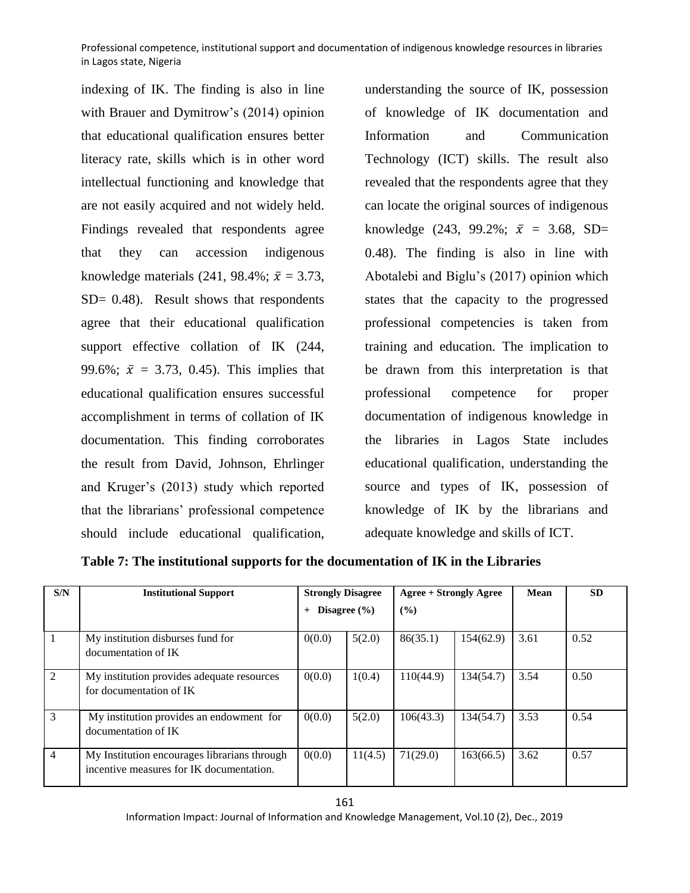indexing of IK. The finding is also in line with Brauer and Dymitrow's (2014) opinion that educational qualification ensures better literacy rate, skills which is in other word intellectual functioning and knowledge that are not easily acquired and not widely held. Findings revealed that respondents agree that they can accession indigenous knowledge materials (241, 98.4%;  $\bar{x}$  = 3.73, SD= 0.48). Result shows that respondents agree that their educational qualification support effective collation of IK (244, 99.6%;  $\bar{x} = 3.73, 0.45$ ). This implies that educational qualification ensures successful accomplishment in terms of collation of IK documentation. This finding corroborates the result from David, Johnson, Ehrlinger and Kruger's (2013) study which reported that the librarians' professional competence should include educational qualification,

understanding the source of IK, possession of knowledge of IK documentation and Information and Communication Technology (ICT) skills. The result also revealed that the respondents agree that they can locate the original sources of indigenous knowledge (243, 99.2%;  $\bar{x} = 3.68$ , SD= 0.48). The finding is also in line with Abotalebi and Biglu's (2017) opinion which states that the capacity to the progressed professional competencies is taken from training and education. The implication to be drawn from this interpretation is that professional competence for proper documentation of indigenous knowledge in the libraries in Lagos State includes educational qualification, understanding the source and types of IK, possession of knowledge of IK by the librarians and adequate knowledge and skills of ICT.

| S/N            | <b>Institutional Support</b>                                                             | <b>Strongly Disagree</b> |         | <b>Agree + Strongly Agree</b> |           | Mean | <b>SD</b> |
|----------------|------------------------------------------------------------------------------------------|--------------------------|---------|-------------------------------|-----------|------|-----------|
|                |                                                                                          | Disagree $(\% )$<br>$+$  |         | (%)                           |           |      |           |
| $\overline{1}$ | My institution disburses fund for<br>documentation of IK                                 | 0(0.0)                   | 5(2.0)  | 86(35.1)                      | 154(62.9) | 3.61 | 0.52      |
| 2              | My institution provides adequate resources<br>for documentation of IK                    | 0(0.0)                   | 1(0.4)  | 110(44.9)                     | 134(54.7) | 3.54 | 0.50      |
| 3              | My institution provides an endowment for<br>documentation of IK                          | 0(0.0)                   | 5(2.0)  | 106(43.3)                     | 134(54.7) | 3.53 | 0.54      |
| $\overline{4}$ | My Institution encourages librarians through<br>incentive measures for IK documentation. | 0(0.0)                   | 11(4.5) | 71(29.0)                      | 163(66.5) | 3.62 | 0.57      |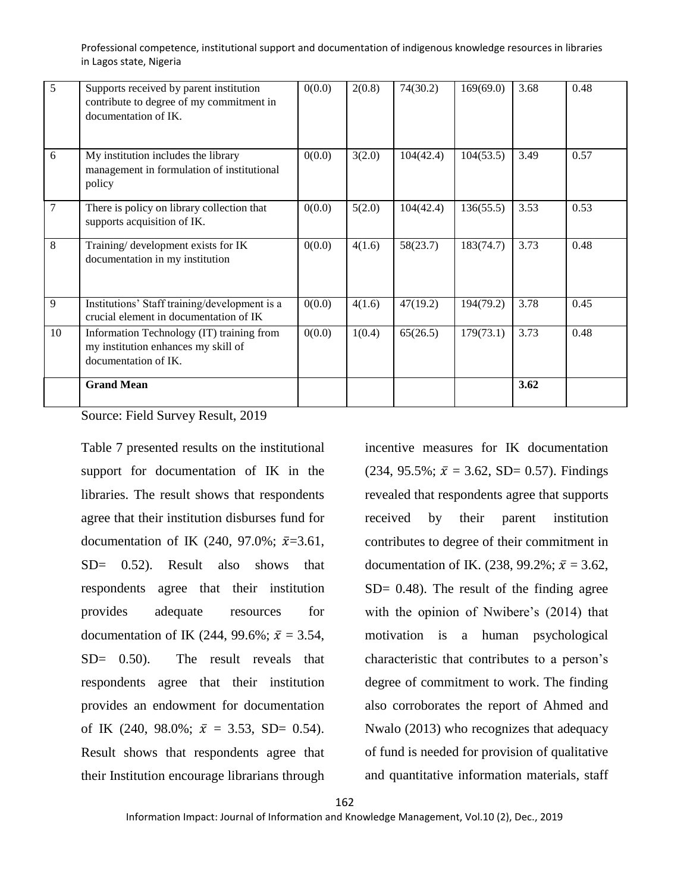|    | <b>Grand Mean</b>                                                                                           |        |        |           |           | 3.62 |      |
|----|-------------------------------------------------------------------------------------------------------------|--------|--------|-----------|-----------|------|------|
| 10 | Information Technology (IT) training from<br>my institution enhances my skill of<br>documentation of IK.    | 0(0.0) | 1(0.4) | 65(26.5)  | 179(73.1) | 3.73 | 0.48 |
| 9  | Institutions' Staff training/development is a<br>crucial element in documentation of IK                     | 0(0.0) | 4(1.6) | 47(19.2)  | 194(79.2) | 3.78 | 0.45 |
| 8  | Training/ development exists for IK<br>documentation in my institution                                      | 0(0.0) | 4(1.6) | 58(23.7)  | 183(74.7) | 3.73 | 0.48 |
| 7  | There is policy on library collection that<br>supports acquisition of IK.                                   | 0(0.0) | 5(2.0) | 104(42.4) | 136(55.5) | 3.53 | 0.53 |
| 6  | My institution includes the library<br>management in formulation of institutional<br>policy                 | 0(0.0) | 3(2.0) | 104(42.4) | 104(53.5) | 3.49 | 0.57 |
| 5  | Supports received by parent institution<br>contribute to degree of my commitment in<br>documentation of IK. | 0(0.0) | 2(0.8) | 74(30.2)  | 169(69.0) | 3.68 | 0.48 |

Source: Field Survey Result, 2019

Table 7 presented results on the institutional support for documentation of IK in the libraries. The result shows that respondents agree that their institution disburses fund for documentation of IK (240, 97.0%;  $\bar{x}$ =3.61, SD= 0.52). Result also shows that respondents agree that their institution provides adequate resources for documentation of IK (244, 99.6%;  $\bar{x} = 3.54$ , SD= 0.50). The result reveals that respondents agree that their institution provides an endowment for documentation of IK (240, 98.0%;  $\bar{x} = 3.53$ , SD= 0.54). Result shows that respondents agree that their Institution encourage librarians through

incentive measures for IK documentation  $(234, 95.5\%; \bar{x} = 3.62, SD = 0.57)$ . Findings revealed that respondents agree that supports received by their parent institution contributes to degree of their commitment in documentation of IK. (238, 99.2%;  $\bar{x} = 3.62$ ,  $SD = 0.48$ ). The result of the finding agree with the opinion of Nwibere's (2014) that motivation is a human psychological characteristic that contributes to a person's degree of commitment to work. The finding also corroborates the report of Ahmed and Nwalo (2013) who recognizes that adequacy of fund is needed for provision of qualitative and quantitative information materials, staff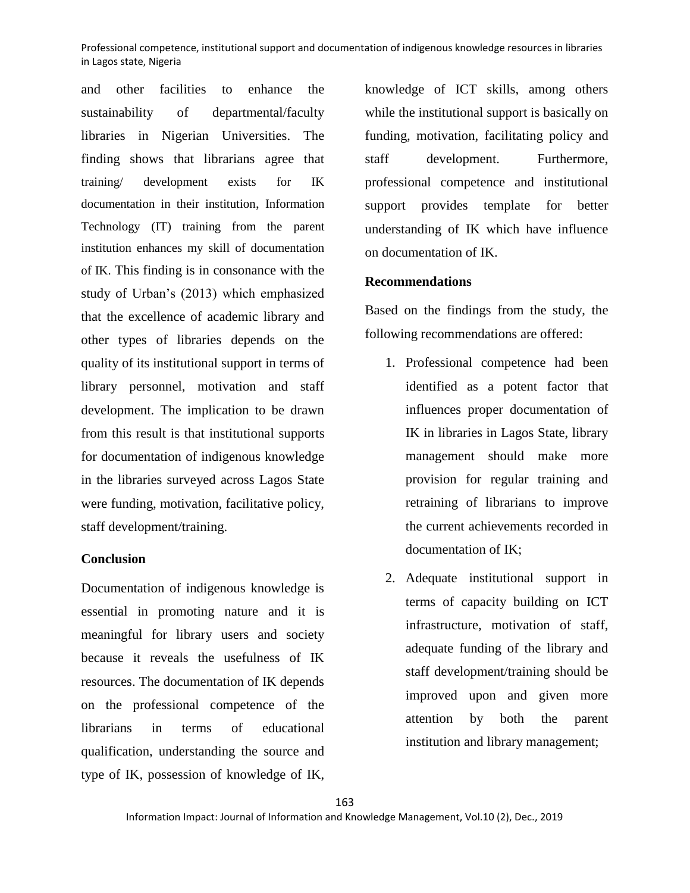and other facilities to enhance the sustainability of departmental/faculty libraries in Nigerian Universities. The finding shows that librarians agree that training/ development exists for IK documentation in their institution, Information Technology (IT) training from the parent institution enhances my skill of documentation of IK. This finding is in consonance with the study of Urban's (2013) which emphasized that the excellence of academic library and other types of libraries depends on the quality of its institutional support in terms of library personnel, motivation and staff development. The implication to be drawn from this result is that institutional supports for documentation of indigenous knowledge in the libraries surveyed across Lagos State were funding, motivation, facilitative policy, staff development/training.

## **Conclusion**

Documentation of indigenous knowledge is essential in promoting nature and it is meaningful for library users and society because it reveals the usefulness of IK resources. The documentation of IK depends on the professional competence of the librarians in terms of educational qualification, understanding the source and type of IK, possession of knowledge of IK,

knowledge of ICT skills, among others while the institutional support is basically on funding, motivation, facilitating policy and staff development. Furthermore, professional competence and institutional support provides template for better understanding of IK which have influence on documentation of IK.

# **Recommendations**

Based on the findings from the study, the following recommendations are offered:

- 1. Professional competence had been identified as a potent factor that influences proper documentation of IK in libraries in Lagos State, library management should make more provision for regular training and retraining of librarians to improve the current achievements recorded in documentation of IK;
- 2. Adequate institutional support in terms of capacity building on ICT infrastructure, motivation of staff, adequate funding of the library and staff development/training should be improved upon and given more attention by both the parent institution and library management;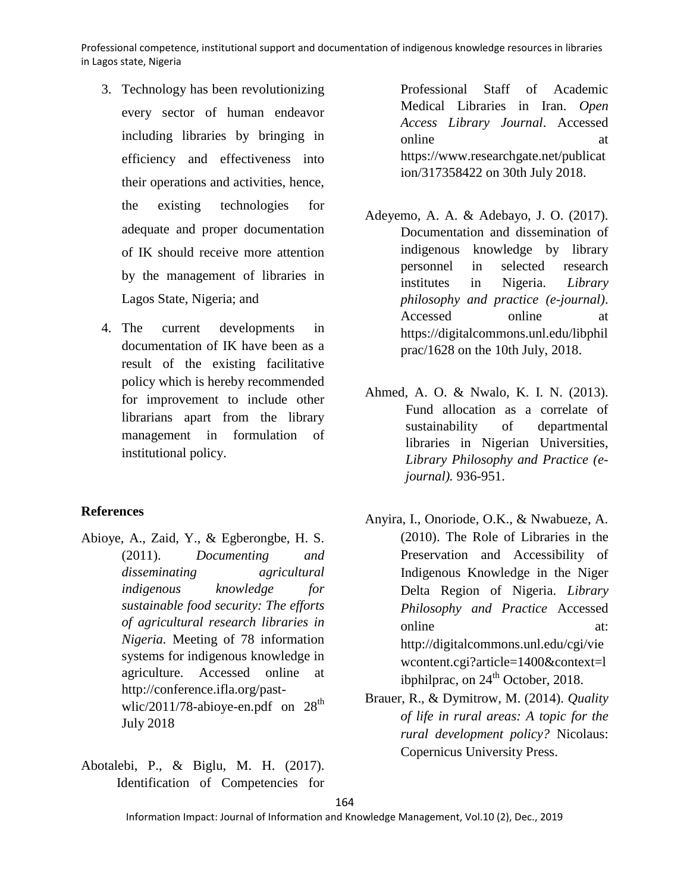- 3. Technology has been revolutionizing every sector of human endeavor including libraries by bringing in efficiency and effectiveness into their operations and activities, hence, the existing technologies for adequate and proper documentation of IK should receive more attention by the management of libraries in Lagos State, Nigeria; and
- 4. The current developments in documentation of IK have been as a result of the existing facilitative policy which is hereby recommended for improvement to include other librarians apart from the library management in formulation of institutional policy.

# **References**

- Abioye, A., Zaid, Y., & Egberongbe, H. S. (2011). *Documenting and disseminating agricultural indigenous knowledge for sustainable food security: The efforts of agricultural research libraries in Nigeria.* Meeting of 78 information systems for indigenous knowledge in agriculture. Accessed online at http://conference.ifla.org/pastwlic/2011/78-abioye-en.pdf on  $28<sup>th</sup>$ July 2018
- Abotalebi, P., & Biglu, M. H. (2017). Identification of Competencies for

Professional Staff of Academic Medical Libraries in Iran. *Open Access Library Journal*. Accessed online at a state at a state at a state and a state at a state and a state at a state at a state at a state at  $\alpha$ [https://www.researchgate.net/publicat](https://www.researchgate.net/publication/317358422) [ion/317358422](https://www.researchgate.net/publication/317358422) on 30th July 2018.

- Adeyemo, A. A. & Adebayo, J. O. (2017). Documentation and dissemination of indigenous knowledge by library personnel in selected research institutes in Nigeria. *Library philosophy and practice (e-journal)*. Accessed online at [https://digitalcommons.unl.edu/libphil](https://digitalcommons.unl.edu/libphilprac/1628) [prac/1628](https://digitalcommons.unl.edu/libphilprac/1628) on the 10th July, 2018.
- Ahmed, A. O. & Nwalo, K. I. N. (2013). Fund allocation as a correlate of sustainability of departmental libraries in Nigerian Universities, *Library Philosophy and Practice (ejournal).* 936-951.
- Anyira, I., Onoriode, O.K., & Nwabueze, A. (2010). The Role of Libraries in the Preservation and Accessibility of Indigenous Knowledge in the Niger Delta Region of Nigeria. *Library Philosophy and Practice* Accessed online at: http://digitalcommons.unl.edu/cgi/vie wcontent.cgi?article=1400&context=l ibphilprac, on  $24<sup>th</sup>$  October, 2018.
- Brauer, R., & Dymitrow, M. (2014). *Quality of life in rural areas: A topic for the rural development policy?* Nicolaus: Copernicus University Press.

164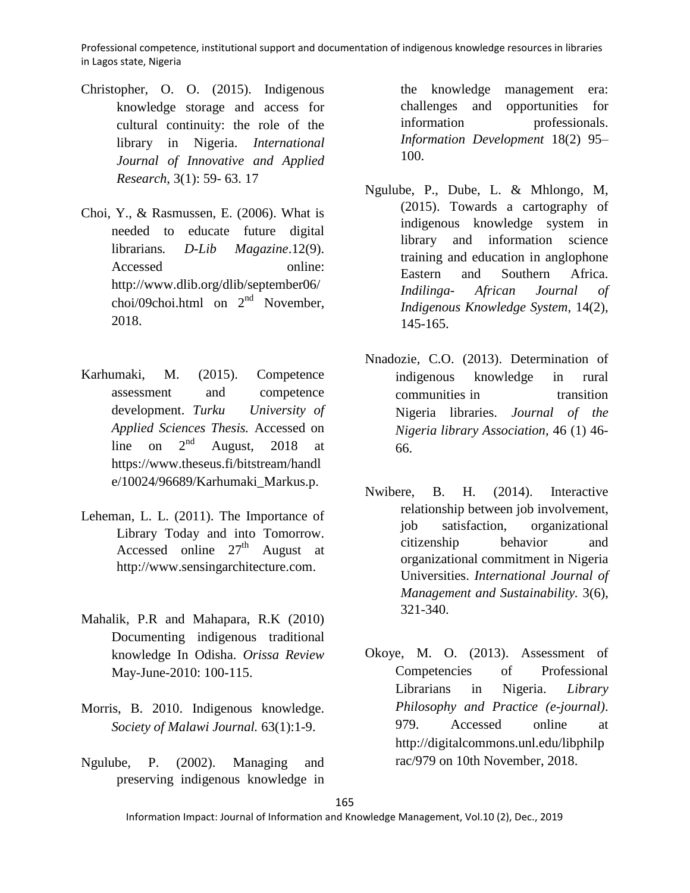- Christopher, O. O. (2015). Indigenous knowledge storage and access for cultural continuity: the role of the library in Nigeria. *International Journal of Innovative and Applied Research*, 3(1): 59- 63. 17
- Choi, Y., & Rasmussen, E. (2006). What is needed to educate future digital librarians*. D-Lib Magazine*.12(9). Accessed online: http://www.dlib.org/dlib/september06/ choi/09choi.html on  $2<sup>nd</sup>$  November, 2018.
- Karhumaki, M. (2015). Competence assessment and competence development. *Turku University of Applied Sciences Thesis.* Accessed on line on  $2<sup>nd</sup>$  August, 2018 at [https://www.theseus.fi/bitstream/handl](https://www.theseus.fi/bitstream/handle/10024/96689/Karhumaki_Markus.p) [e/10024/96689/Karhumaki\\_Markus.p.](https://www.theseus.fi/bitstream/handle/10024/96689/Karhumaki_Markus.p)
- Leheman, L. L. (2011). The Importance of Library Today and into Tomorrow. Accessed online  $27<sup>th</sup>$  August at [http://www.sensingarchitecture.com.](http://www.sensingarchitecture.com/)
- Mahalik, P.R and Mahapara, R.K (2010) Documenting indigenous traditional knowledge In Odisha. *Orissa Review*  May-June-2010: 100-115.
- Morris, B. 2010. Indigenous knowledge. *Society of Malawi Journal.* 63(1):1-9.
- Ngulube, P. (2002). Managing and preserving indigenous knowledge in

the knowledge management era: challenges and opportunities for information professionals. *Information Development* 18(2) 95– 100.

- Ngulube, P., Dube, L. & Mhlongo, M, (2015). Towards a cartography of indigenous knowledge system in library and information science training and education in anglophone Eastern and Southern Africa. *Indilinga- African Journal of Indigenous Knowledge System,* 14(2), 145-165.
- Nnadozie, C.O. (2013). Determination of indigenous knowledge in rural communities in transition Nigeria libraries. *Journal of the Nigeria library Association,* 46 (1) 46- 66.
- Nwibere, B. H. (2014). Interactive relationship between job involvement, job satisfaction, organizational citizenship behavior and organizational commitment in Nigeria Universities. *International Journal of Management and Sustainability.* 3(6), 321-340.
- Okoye, M. O. (2013). Assessment of Competencies of Professional Librarians in Nigeria. *Library Philosophy and Practice (e-journal)*. 979. Accessed online at [http://digitalcommons.unl.edu/libphilp](http://digitalcommons.unl.edu/libphilprac/979) [rac/979](http://digitalcommons.unl.edu/libphilprac/979) on 10th November, 2018.